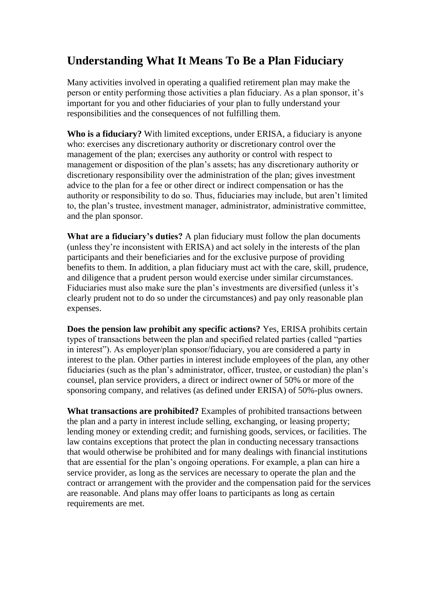## **Understanding What It Means To Be a Plan Fiduciary**

Many activities involved in operating a qualified retirement plan may make the person or entity performing those activities a plan fiduciary. As a plan sponsor, it's important for you and other fiduciaries of your plan to fully understand your responsibilities and the consequences of not fulfilling them.

**Who is a fiduciary?** With limited exceptions, under ERISA, a fiduciary is anyone who: exercises any discretionary authority or discretionary control over the management of the plan; exercises any authority or control with respect to management or disposition of the plan's assets; has any discretionary authority or discretionary responsibility over the administration of the plan; gives investment advice to the plan for a fee or other direct or indirect compensation or has the authority or responsibility to do so. Thus, fiduciaries may include, but aren't limited to, the plan's trustee, investment manager, administrator, administrative committee, and the plan sponsor.

**What are a fiduciary's duties?** A plan fiduciary must follow the plan documents (unless they're inconsistent with ERISA) and act solely in the interests of the plan participants and their beneficiaries and for the exclusive purpose of providing benefits to them. In addition, a plan fiduciary must act with the care, skill, prudence, and diligence that a prudent person would exercise under similar circumstances. Fiduciaries must also make sure the plan's investments are diversified (unless it's clearly prudent not to do so under the circumstances) and pay only reasonable plan expenses.

**Does the pension law prohibit any specific actions?** Yes, ERISA prohibits certain types of transactions between the plan and specified related parties (called "parties in interest"). As employer/plan sponsor/fiduciary, you are considered a party in interest to the plan. Other parties in interest include employees of the plan, any other fiduciaries (such as the plan's administrator, officer, trustee, or custodian) the plan's counsel, plan service providers, a direct or indirect owner of 50% or more of the sponsoring company, and relatives (as defined under ERISA) of 50%-plus owners.

**What transactions are prohibited?** Examples of prohibited transactions between the plan and a party in interest include selling, exchanging, or leasing property; lending money or extending credit; and furnishing goods, services, or facilities. The law contains exceptions that protect the plan in conducting necessary transactions that would otherwise be prohibited and for many dealings with financial institutions that are essential for the plan's ongoing operations. For example, a plan can hire a service provider, as long as the services are necessary to operate the plan and the contract or arrangement with the provider and the compensation paid for the services are reasonable. And plans may offer loans to participants as long as certain requirements are met.